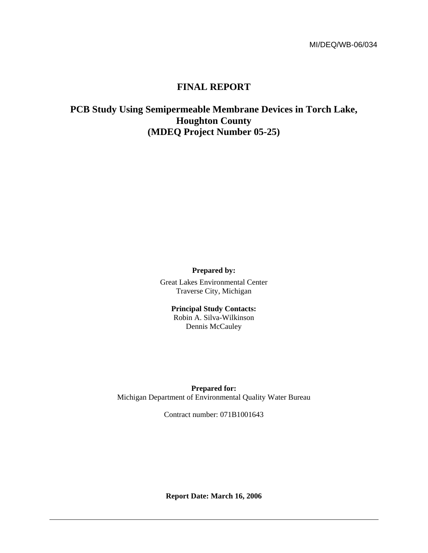# **FINAL REPORT**

**PCB Study Using Semipermeable Membrane Devices in Torch Lake, Houghton County (MDEQ Project Number 05-25)** 

**Prepared by:** 

Great Lakes Environmental Center Traverse City, Michigan

> **Principal Study Contacts:**  Robin A. Silva-Wilkinson Dennis McCauley

**Prepared for:**  Michigan Department of Environmental Quality Water Bureau

Contract number: 071B1001643

**Report Date: March 16, 2006**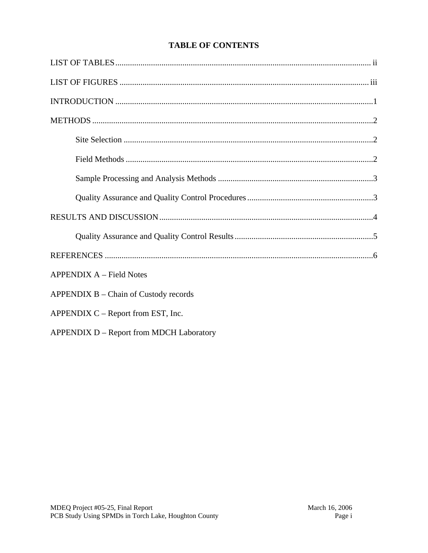# **TABLE OF CONTENTS**

| <b>APPENDIX A – Field Notes</b>          |
|------------------------------------------|
| $APPENDIX B - Chain of Custody records$  |
| APPENDIX C – Report from EST, Inc.       |
| APPENDIX D - Report from MDCH Laboratory |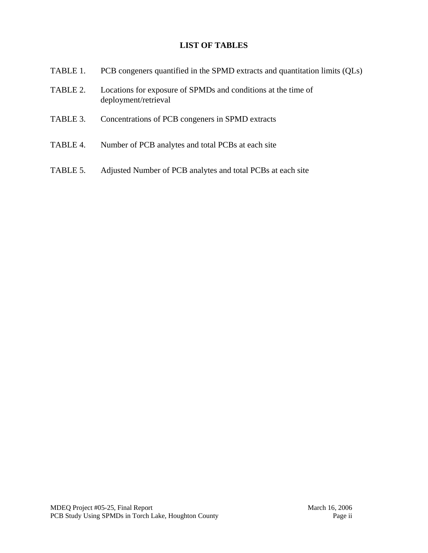# **LIST OF TABLES**

| TABLE 1. | PCB congeners quantified in the SPMD extracts and quantitation limits (QLs)           |
|----------|---------------------------------------------------------------------------------------|
| TABLE 2. | Locations for exposure of SPMDs and conditions at the time of<br>deployment/retrieval |
| TABLE 3. | Concentrations of PCB congeners in SPMD extracts                                      |
| TABLE 4. | Number of PCB analytes and total PCBs at each site                                    |
| TABLE 5. | Adjusted Number of PCB analytes and total PCBs at each site                           |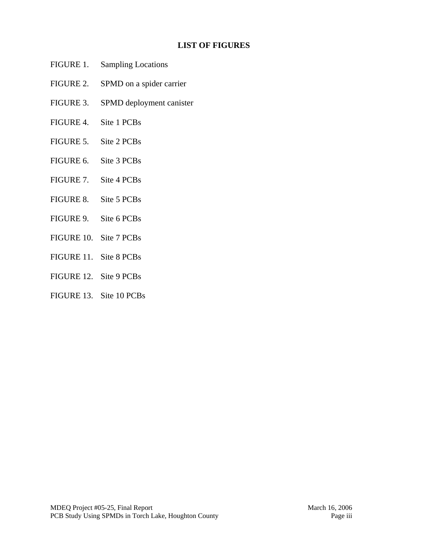### **LIST OF FIGURES**

- FIGURE 1. Sampling Locations
- FIGURE 2. SPMD on a spider carrier
- FIGURE 3. SPMD deployment canister
- FIGURE 4. Site 1 PCBs
- FIGURE 5. Site 2 PCBs
- FIGURE 6. Site 3 PCBs
- FIGURE 7. Site 4 PCBs
- FIGURE 8. Site 5 PCBs
- FIGURE 9. Site 6 PCBs
- FIGURE 10. Site 7 PCBs
- FIGURE 11. Site 8 PCBs
- FIGURE 12. Site 9 PCBs
- FIGURE 13. Site 10 PCBs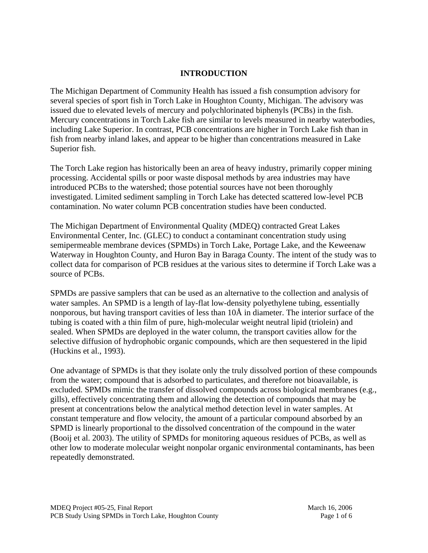### **INTRODUCTION**

The Michigan Department of Community Health has issued a fish consumption advisory for several species of sport fish in Torch Lake in Houghton County, Michigan. The advisory was issued due to elevated levels of mercury and polychlorinated biphenyls (PCBs) in the fish. Mercury concentrations in Torch Lake fish are similar to levels measured in nearby waterbodies, including Lake Superior. In contrast, PCB concentrations are higher in Torch Lake fish than in fish from nearby inland lakes, and appear to be higher than concentrations measured in Lake Superior fish.

The Torch Lake region has historically been an area of heavy industry, primarily copper mining processing. Accidental spills or poor waste disposal methods by area industries may have introduced PCBs to the watershed; those potential sources have not been thoroughly investigated. Limited sediment sampling in Torch Lake has detected scattered low-level PCB contamination. No water column PCB concentration studies have been conducted.

The Michigan Department of Environmental Quality (MDEQ) contracted Great Lakes Environmental Center, Inc. (GLEC) to conduct a contaminant concentration study using semipermeable membrane devices (SPMDs) in Torch Lake, Portage Lake, and the Keweenaw Waterway in Houghton County, and Huron Bay in Baraga County. The intent of the study was to collect data for comparison of PCB residues at the various sites to determine if Torch Lake was a source of PCBs.

SPMDs are passive samplers that can be used as an alternative to the collection and analysis of water samples. An SPMD is a length of lay-flat low-density polyethylene tubing, essentially nonporous, but having transport cavities of less than 10Å in diameter. The interior surface of the tubing is coated with a thin film of pure, high-molecular weight neutral lipid (triolein) and sealed. When SPMDs are deployed in the water column, the transport cavities allow for the selective diffusion of hydrophobic organic compounds, which are then sequestered in the lipid (Huckins et al., 1993).

One advantage of SPMDs is that they isolate only the truly dissolved portion of these compounds from the water; compound that is adsorbed to particulates, and therefore not bioavailable, is excluded. SPMDs mimic the transfer of dissolved compounds across biological membranes (e.g., gills), effectively concentrating them and allowing the detection of compounds that may be present at concentrations below the analytical method detection level in water samples. At constant temperature and flow velocity, the amount of a particular compound absorbed by an SPMD is linearly proportional to the dissolved concentration of the compound in the water (Booij et al. 2003). The utility of SPMDs for monitoring aqueous residues of PCBs, as well as other low to moderate molecular weight nonpolar organic environmental contaminants, has been repeatedly demonstrated.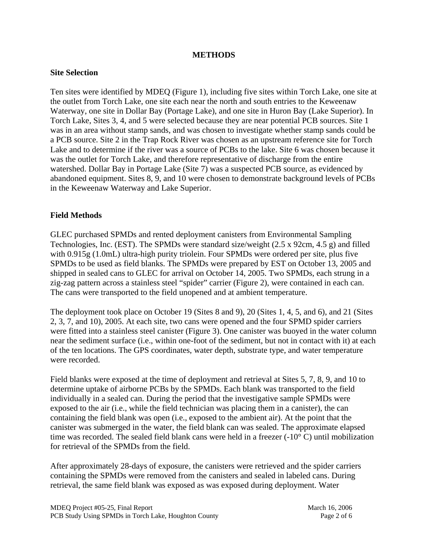#### **METHODS**

#### **Site Selection**

Ten sites were identified by MDEQ (Figure 1), including five sites within Torch Lake, one site at the outlet from Torch Lake, one site each near the north and south entries to the Keweenaw Waterway, one site in Dollar Bay (Portage Lake), and one site in Huron Bay (Lake Superior). In Torch Lake, Sites 3, 4, and 5 were selected because they are near potential PCB sources. Site 1 was in an area without stamp sands, and was chosen to investigate whether stamp sands could be a PCB source. Site 2 in the Trap Rock River was chosen as an upstream reference site for Torch Lake and to determine if the river was a source of PCBs to the lake. Site 6 was chosen because it was the outlet for Torch Lake, and therefore representative of discharge from the entire watershed. Dollar Bay in Portage Lake (Site 7) was a suspected PCB source, as evidenced by abandoned equipment. Sites 8, 9, and 10 were chosen to demonstrate background levels of PCBs in the Keweenaw Waterway and Lake Superior.

#### **Field Methods**

GLEC purchased SPMDs and rented deployment canisters from Environmental Sampling Technologies, Inc. (EST). The SPMDs were standard size/weight (2.5 x 92cm, 4.5 g) and filled with 0.915g (1.0mL) ultra-high purity triolein. Four SPMDs were ordered per site, plus five SPMDs to be used as field blanks. The SPMDs were prepared by EST on October 13, 2005 and shipped in sealed cans to GLEC for arrival on October 14, 2005. Two SPMDs, each strung in a zig-zag pattern across a stainless steel "spider" carrier (Figure 2), were contained in each can. The cans were transported to the field unopened and at ambient temperature.

The deployment took place on October 19 (Sites 8 and 9), 20 (Sites 1, 4, 5, and 6), and 21 (Sites 2, 3, 7, and 10), 2005. At each site, two cans were opened and the four SPMD spider carriers were fitted into a stainless steel canister (Figure 3). One canister was buoyed in the water column near the sediment surface (i.e., within one-foot of the sediment, but not in contact with it) at each of the ten locations. The GPS coordinates, water depth, substrate type, and water temperature were recorded.

Field blanks were exposed at the time of deployment and retrieval at Sites 5, 7, 8, 9, and 10 to determine uptake of airborne PCBs by the SPMDs. Each blank was transported to the field individually in a sealed can. During the period that the investigative sample SPMDs were exposed to the air (i.e., while the field technician was placing them in a canister), the can containing the field blank was open (i.e., exposed to the ambient air). At the point that the canister was submerged in the water, the field blank can was sealed. The approximate elapsed time was recorded. The sealed field blank cans were held in a freezer  $(-10^{\circ} \text{ C})$  until mobilization for retrieval of the SPMDs from the field.

After approximately 28-days of exposure, the canisters were retrieved and the spider carriers containing the SPMDs were removed from the canisters and sealed in labeled cans. During retrieval, the same field blank was exposed as was exposed during deployment. Water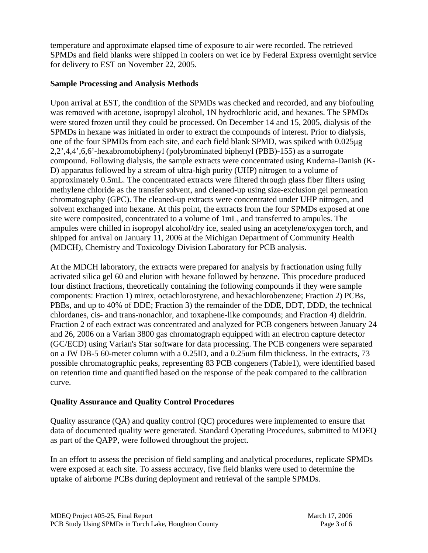temperature and approximate elapsed time of exposure to air were recorded. The retrieved SPMDs and field blanks were shipped in coolers on wet ice by Federal Express overnight service for delivery to EST on November 22, 2005.

### **Sample Processing and Analysis Methods**

Upon arrival at EST, the condition of the SPMDs was checked and recorded, and any biofouling was removed with acetone, isopropyl alcohol, 1N hydrochloric acid, and hexanes. The SPMDs were stored frozen until they could be processed. On December 14 and 15, 2005, dialysis of the SPMDs in hexane was initiated in order to extract the compounds of interest. Prior to dialysis, one of the four SPMDs from each site, and each field blank SPMD, was spiked with 0.025μg 2,2',4,4',6,6'-hexabromobiphenyl (polybrominated biphenyl (PBB)-155) as a surrogate compound. Following dialysis, the sample extracts were concentrated using Kuderna-Danish (K-D) apparatus followed by a stream of ultra-high purity (UHP) nitrogen to a volume of approximately 0.5mL. The concentrated extracts were filtered through glass fiber filters using methylene chloride as the transfer solvent, and cleaned-up using size-exclusion gel permeation chromatography (GPC). The cleaned-up extracts were concentrated under UHP nitrogen, and solvent exchanged into hexane. At this point, the extracts from the four SPMDs exposed at one site were composited, concentrated to a volume of 1mL, and transferred to ampules. The ampules were chilled in isopropyl alcohol/dry ice, sealed using an acetylene/oxygen torch, and shipped for arrival on January 11, 2006 at the Michigan Department of Community Health (MDCH), Chemistry and Toxicology Division Laboratory for PCB analysis.

At the MDCH laboratory, the extracts were prepared for analysis by fractionation using fully activated silica gel 60 and elution with hexane followed by benzene. This procedure produced four distinct fractions, theoretically containing the following compounds if they were sample components: Fraction 1) mirex, octachlorostyrene, and hexachlorobenzene; Fraction 2) PCBs, PBBs, and up to 40% of DDE; Fraction 3) the remainder of the DDE, DDT, DDD, the technical chlordanes, cis- and trans-nonachlor, and toxaphene-like compounds; and Fraction 4) dieldrin. Fraction 2 of each extract was concentrated and analyzed for PCB congeners between January 24 and 26, 2006 on a Varian 3800 gas chromatograph equipped with an electron capture detector (GC/ECD) using Varian's Star software for data processing. The PCB congeners were separated on a JW DB-5 60-meter column with a 0.25ID, and a 0.25um film thickness. In the extracts, 73 possible chromatographic peaks, representing 83 PCB congeners (Table1), were identified based on retention time and quantified based on the response of the peak compared to the calibration curve.

# **Quality Assurance and Quality Control Procedures**

Quality assurance (QA) and quality control (QC) procedures were implemented to ensure that data of documented quality were generated. Standard Operating Procedures, submitted to MDEQ as part of the QAPP, were followed throughout the project.

In an effort to assess the precision of field sampling and analytical procedures, replicate SPMDs were exposed at each site. To assess accuracy, five field blanks were used to determine the uptake of airborne PCBs during deployment and retrieval of the sample SPMDs.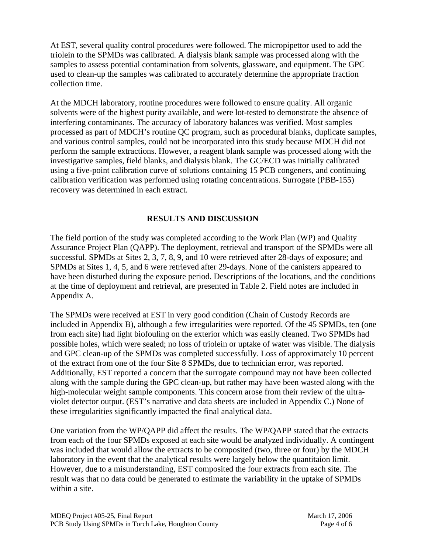At EST, several quality control procedures were followed. The micropipettor used to add the triolein to the SPMDs was calibrated. A dialysis blank sample was processed along with the samples to assess potential contamination from solvents, glassware, and equipment. The GPC used to clean-up the samples was calibrated to accurately determine the appropriate fraction collection time.

At the MDCH laboratory, routine procedures were followed to ensure quality. All organic solvents were of the highest purity available, and were lot-tested to demonstrate the absence of interfering contaminants. The accuracy of laboratory balances was verified. Most samples processed as part of MDCH's routine QC program, such as procedural blanks, duplicate samples, and various control samples, could not be incorporated into this study because MDCH did not perform the sample extractions. However, a reagent blank sample was processed along with the investigative samples, field blanks, and dialysis blank. The GC/ECD was initially calibrated using a five-point calibration curve of solutions containing 15 PCB congeners, and continuing calibration verification was performed using rotating concentrations. Surrogate (PBB-155) recovery was determined in each extract.

## **RESULTS AND DISCUSSION**

The field portion of the study was completed according to the Work Plan (WP) and Quality Assurance Project Plan (QAPP). The deployment, retrieval and transport of the SPMDs were all successful. SPMDs at Sites 2, 3, 7, 8, 9, and 10 were retrieved after 28-days of exposure; and SPMDs at Sites 1, 4, 5, and 6 were retrieved after 29-days. None of the canisters appeared to have been disturbed during the exposure period. Descriptions of the locations, and the conditions at the time of deployment and retrieval, are presented in Table 2. Field notes are included in Appendix A.

The SPMDs were received at EST in very good condition (Chain of Custody Records are included in Appendix B), although a few irregularities were reported. Of the 45 SPMDs, ten (one from each site) had light biofouling on the exterior which was easily cleaned. Two SPMDs had possible holes, which were sealed; no loss of triolein or uptake of water was visible. The dialysis and GPC clean-up of the SPMDs was completed successfully. Loss of approximately 10 percent of the extract from one of the four Site 8 SPMDs, due to technician error, was reported. Additionally, EST reported a concern that the surrogate compound may not have been collected along with the sample during the GPC clean-up, but rather may have been wasted along with the high-molecular weight sample components. This concern arose from their review of the ultraviolet detector output. (EST's narrative and data sheets are included in Appendix C.) None of these irregularities significantly impacted the final analytical data.

One variation from the WP/QAPP did affect the results. The WP/QAPP stated that the extracts from each of the four SPMDs exposed at each site would be analyzed individually. A contingent was included that would allow the extracts to be composited (two, three or four) by the MDCH laboratory in the event that the analytical results were largely below the quantitaion limit. However, due to a misunderstanding, EST composited the four extracts from each site. The result was that no data could be generated to estimate the variability in the uptake of SPMDs within a site.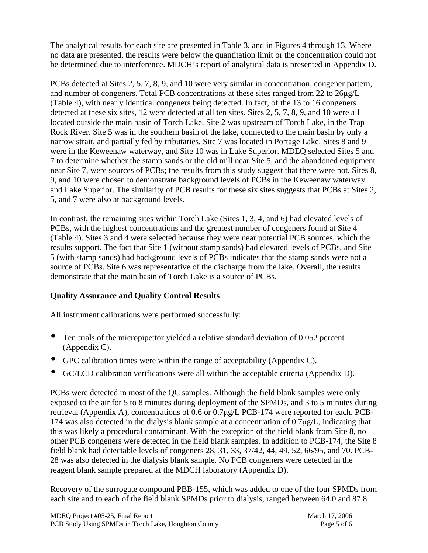The analytical results for each site are presented in Table 3, and in Figures 4 through 13. Where no data are presented, the results were below the quantitation limit or the concentration could not be determined due to interference. MDCH's report of analytical data is presented in Appendix D.

PCBs detected at Sites 2, 5, 7, 8, 9, and 10 were very similar in concentration, congener pattern, and number of congeners. Total PCB concentrations at these sites ranged from 22 to 26μg/L (Table 4), with nearly identical congeners being detected. In fact, of the 13 to 16 congeners detected at these six sites, 12 were detected at all ten sites. Sites 2, 5, 7, 8, 9, and 10 were all located outside the main basin of Torch Lake. Site 2 was upstream of Torch Lake, in the Trap Rock River. Site 5 was in the southern basin of the lake, connected to the main basin by only a narrow strait, and partially fed by tributaries. Site 7 was located in Portage Lake. Sites 8 and 9 were in the Keweenaw waterway, and Site 10 was in Lake Superior. MDEQ selected Sites 5 and 7 to determine whether the stamp sands or the old mill near Site 5, and the abandoned equipment near Site 7, were sources of PCBs; the results from this study suggest that there were not. Sites 8, 9, and 10 were chosen to demonstrate background levels of PCBs in the Keweenaw waterway and Lake Superior. The similarity of PCB results for these six sites suggests that PCBs at Sites 2, 5, and 7 were also at background levels.

In contrast, the remaining sites within Torch Lake (Sites 1, 3, 4, and 6) had elevated levels of PCBs, with the highest concentrations and the greatest number of congeners found at Site 4 (Table 4). Sites 3 and 4 were selected because they were near potential PCB sources, which the results support. The fact that Site 1 (without stamp sands) had elevated levels of PCBs, and Site 5 (with stamp sands) had background levels of PCBs indicates that the stamp sands were not a source of PCBs. Site 6 was representative of the discharge from the lake. Overall, the results demonstrate that the main basin of Torch Lake is a source of PCBs.

# **Quality Assurance and Quality Control Results**

All instrument calibrations were performed successfully:

- Ten trials of the micropipettor yielded a relative standard deviation of 0.052 percent (Appendix C).
- GPC calibration times were within the range of acceptability (Appendix C).
- GC/ECD calibration verifications were all within the acceptable criteria (Appendix D).

PCBs were detected in most of the QC samples. Although the field blank samples were only exposed to the air for 5 to 8 minutes during deployment of the SPMDs, and 3 to 5 minutes during retrieval (Appendix A), concentrations of 0.6 or 0.7μg/L PCB-174 were reported for each. PCB-174 was also detected in the dialysis blank sample at a concentration of 0.7μg/L, indicating that this was likely a procedural contaminant. With the exception of the field blank from Site 8, no other PCB congeners were detected in the field blank samples. In addition to PCB-174, the Site 8 field blank had detectable levels of congeners 28, 31, 33, 37/42, 44, 49, 52, 66/95, and 70. PCB-28 was also detected in the dialysis blank sample. No PCB congeners were detected in the reagent blank sample prepared at the MDCH laboratory (Appendix D).

Recovery of the surrogate compound PBB-155, which was added to one of the four SPMDs from each site and to each of the field blank SPMDs prior to dialysis, ranged between 64.0 and 87.8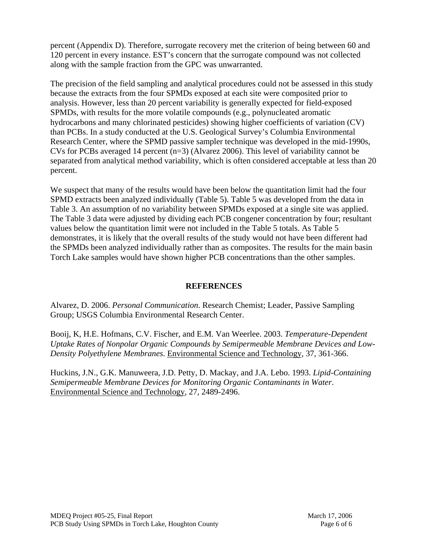percent (Appendix D). Therefore, surrogate recovery met the criterion of being between 60 and 120 percent in every instance. EST's concern that the surrogate compound was not collected along with the sample fraction from the GPC was unwarranted.

The precision of the field sampling and analytical procedures could not be assessed in this study because the extracts from the four SPMDs exposed at each site were composited prior to analysis. However, less than 20 percent variability is generally expected for field-exposed SPMDs, with results for the more volatile compounds (e.g., polynucleated aromatic hydrocarbons and many chlorinated pesticides) showing higher coefficients of variation (CV) than PCBs. In a study conducted at the U.S. Geological Survey's Columbia Environmental Research Center, where the SPMD passive sampler technique was developed in the mid-1990s, CVs for PCBs averaged 14 percent (n=3) (Alvarez 2006). This level of variability cannot be separated from analytical method variability, which is often considered acceptable at less than 20 percent.

We suspect that many of the results would have been below the quantitation limit had the four SPMD extracts been analyzed individually (Table 5). Table 5 was developed from the data in Table 3. An assumption of no variability between SPMDs exposed at a single site was applied. The Table 3 data were adjusted by dividing each PCB congener concentration by four; resultant values below the quantitation limit were not included in the Table 5 totals. As Table 5 demonstrates, it is likely that the overall results of the study would not have been different had the SPMDs been analyzed individually rather than as composites. The results for the main basin Torch Lake samples would have shown higher PCB concentrations than the other samples.

### **REFERENCES**

Alvarez, D. 2006. *Personal Communication*. Research Chemist; Leader, Passive Sampling Group; USGS Columbia Environmental Research Center.

Booij, K, H.E. Hofmans, C.V. Fischer, and E.M. Van Weerlee. 2003. *Temperature-Dependent Uptake Rates of Nonpolar Organic Compounds by Semipermeable Membrane Devices and Low-Density Polyethylene Membranes*. Environmental Science and Technology, 37, 361-366.

Huckins, J.N., G.K. Manuweera, J.D. Petty, D. Mackay, and J.A. Lebo. 1993. *Lipid-Containing Semipermeable Membrane Devices for Monitoring Organic Contaminants in Water*. Environmental Science and Technology, 27, 2489-2496.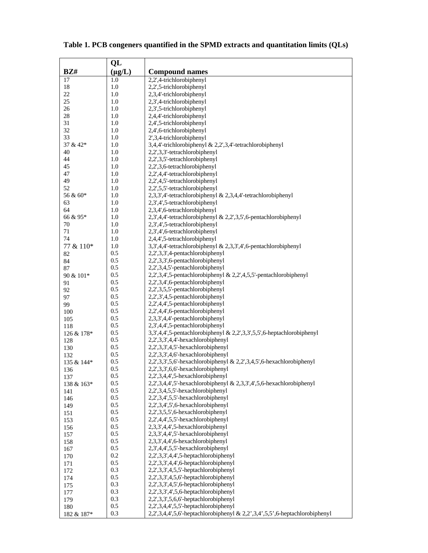|                | QL          |                                                                                      |
|----------------|-------------|--------------------------------------------------------------------------------------|
| BZH            | $(\mu g/L)$ | <b>Compound names</b>                                                                |
| 17             | 1.0         | 2,2',4-trichlorobiphenyl                                                             |
| 18             | 1.0         | 2,2',5-trichlorobiphenyl                                                             |
| 22             | 1.0         | 2,3,4'-trichlorobiphenyl                                                             |
| 25             | 1.0         | 2,3',4-trichlorobiphenyl                                                             |
| 26             | 1.0         | 2,3',5-trichlorobiphenyl                                                             |
| 28             | 1.0         | 2,4,4'-trichlorobiphenyl                                                             |
| 31             | 1.0         | 2,4',5-trichlorobiphenyl                                                             |
| 32             | 1.0         | 2,4',6-trichlorobiphenyl                                                             |
| 33<br>37 & 42* | 1.0<br>1.0  | 2',3,4-trichlorobiphenyl<br>3,4,4'-trichlorobiphenyl & 2,2',3,4'-tetrachlorobiphenyl |
| 40             | 1.0         | 2,2',3,3'-tetrachlorobiphenyl                                                        |
| 44             | 1.0         | 2,2',3,5'-tetrachlorobiphenyl                                                        |
| 45             | 1.0         | 2,2',3,6-tetrachlorobiphenyl                                                         |
| 47             | 1.0         | 2,2',4,4'-tetrachlorobiphenyl                                                        |
| 49             | 1.0         | 2,2',4,5'-tetrachlorobiphenyl                                                        |
| 52             | 1.0         | 2,2',5,5'-tetrachlorobiphenyl                                                        |
| 56 & 60*       | 1.0         | 2,3,3',4'-tetrachlorobiphenyl & 2,3,4,4'-tetrachlorobiphenyl                         |
| 63             | 1.0         | 2,3',4',5-tetrachlorobiphenyl                                                        |
| 64             | 1.0         | 2,3,4',6-tetrachlorobiphenyl                                                         |
| 66 & 95*       | 1.0         | 2,3',4,4'-tetrachlorobiphenyl & 2,2',3,5',6-pentachlorobiphenyl                      |
| 70             | 1.0         | 2,3',4',5-tetrachlorobiphenyl                                                        |
| 71             | 1.0         | 2,3',4',6-tetrachlorobiphenyl                                                        |
| 74             | 1.0         | 2,4,4',5-tetrachlorobiphenyl                                                         |
| 77 & 110*      | 1.0         | 3,3',4,4'-tetrachlorobiphenyl & 2,3,3',4',6-pentachlorobiphenyl                      |
| 82             | 0.5         | 2,2',3,3',4-pentachlorobiphenyl                                                      |
| 84             | 0.5         | 2,2',3,3',6-pentachlorobiphenyl                                                      |
| 87             | 0.5         | 2,2',3,4,5'-pentachlorobiphenyl                                                      |
| 90 & 101*      | 0.5         | 2,2',3,4',5-pentachlorobiphenyl & 2,2',4,5,5'-pentachlorobiphenyl                    |
| 91             | 0.5         | 2,2',3,4',6-pentachlorobiphenyl                                                      |
| 92             | 0.5         | 2,2',3,5,5'-pentachlorobiphenyl                                                      |
| 97             | 0.5         | 2,2',3',4,5-pentachlorobiphenyl                                                      |
| 99             | 0.5         | 2,2',4,4',5-pentachlorobiphenyl                                                      |
| 100            | 0.5<br>0.5  | 2,2',4,4',6-pentachlorobiphenyl<br>2,3,3',4,4'-pentachlorobiphenyl                   |
| 105<br>118     | 0.5         | 2,3',4,4',5-pentachlorobiphenyl                                                      |
| 126 & 178*     | 0.5         | 3,3',4,4',5-pentachlorobiphenyl & 2,2',3,3',5,5',6-heptachlorobiphenyl               |
| 128            | 0.5         | 2,2',3,3',4,4'-hexachlorobiphenyl                                                    |
| 130            | 0.5         | 2,2',3,3',4,5'-hexachlorobiphenyl                                                    |
| 132            | 0.5         | 2,2',3,3',4,6'-hexachlorobiphenyl                                                    |
| 135 & 144*     | 0.5         | 2,2',3,3',5,6'-hexachlorobiphenyl & 2,2',3,4,5',6-hexachlorobiphenyl                 |
| 136            | 0.5         | 2,2',3,3',6,6'-hexachlorobiphenyl                                                    |
| 137            | 0.5         | 2,2',3,4,4',5-hexachlorobiphenyl                                                     |
| 138 & 163*     | 0.5         | 2,2',3,4,4',5'-hexachlorobiphenyl & 2,3,3',4',5,6-hexachlorobiphenyl                 |
| 141            | 0.5         | 2,2',3,4,5,5'-hexachlorobiphenyl                                                     |
| 146            | 0.5         | 2,2',3,4',5,5'-hexachlorobiphenyl                                                    |
| 149            | 0.5         | 2,2',3,4',5',6-hexachlorobiphenyl                                                    |
| 151            | 0.5         | 2,2',3,5,5',6-hexachlorobiphenyl                                                     |
| 153            | 0.5         | 2,2',4,4',5,5'-hexachlorobiphenyl                                                    |
| 156            | 0.5         | 2,3,3',4,4',5-hexachlorobiphenyl                                                     |
| 157            | 0.5         | 2,3,3',4,4',5'-hexachlorobiphenyl                                                    |
| 158            | 0.5         | 2,3,3',4,4',6-hexachlorobiphenyl<br>2,3',4,4',5,5'-hexachlorobiphenyl                |
| 167            | 0.5<br>0.2  | 2,2',3,3',4,4',5-heptachlorobiphenyl                                                 |
| 170            | 0.5         | 2,2',3,3',4,4',6-heptachlorobiphenyl                                                 |
| 171            | 0.3         | 2,2',3,3',4,5,5'-heptachlorobiphenyl                                                 |
| 172<br>174     | 0.5         | 2,2',3,3',4,5,6'-heptachlorobiphenyl                                                 |
| 175            | 0.3         | 2,2',3,3',4,5',6-heptachlorobiphenyl                                                 |
| 177            | 0.3         | 2,2',3,3',4',5,6-heptachlorobiphenyl                                                 |
| 179            | 0.3         | 2,2',3,3',5,6,6'-heptachlorobiphenyl                                                 |
| 180            | 0.5         | 2,2',3,4,4',5,5'-heptachlorobiphenyl                                                 |
| 182 & 187*     | 0.3         | 2,2',3,4,4',5,6'-heptachlorobiphenyl & 2,2',3,4',5,5',6-heptachlorobiphenyl          |

# **Table 1. PCB congeners quantified in the SPMD extracts and quantitation limits (QLs)**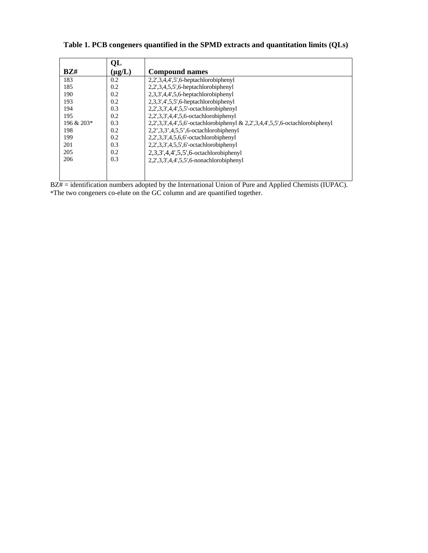| <b>Compound names</b>                                                            |
|----------------------------------------------------------------------------------|
| $2,2',3,4,4',5',6$ -heptachlorobiphenyl                                          |
| 2,2',3,4,5,5',6-heptachlorobiphenyl                                              |
| 2,3,3',4,4',5,6-heptachlorobiphenyl                                              |
| 2,3,3',4',5,5',6-heptachlorobiphenyl                                             |
| 2,2',3,3',4,4',5,5'-octachlorobiphenyl                                           |
| $2,2',3,3',4,4',5,6$ -octachlorobiphenyl                                         |
| $2,2',3,3',4,4',5,6'-octachlorobiphenyl & 2,2',3,4,4',5,5',6-octachlorobiphenyl$ |
| 2,2',3,3',4,5,5',6-octachlorobiphenyl                                            |
| $2,2',3,3',4,5,6,6'$ -octachlorobiphenyl                                         |
| 2,2',3,3',4,5,5',6'-octachlorobiphenyl                                           |
| 2,3,3',4,4',5,5',6-octachlorobiphenyl                                            |
| 2,2',3,3',4,4',5,5',6-nonachlorobiphenyl                                         |
|                                                                                  |
|                                                                                  |
|                                                                                  |

 $BZ# =$  identification numbers adopted by the International Union of Pure and Applied Chemists (IUPAC). \*The two congeners co-elute on the GC column and are quantified together.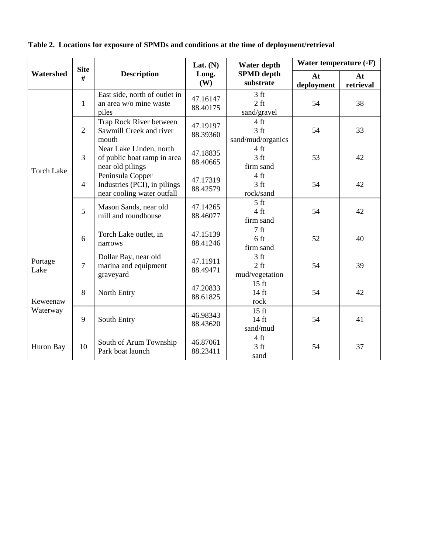|                   | <b>Site</b>    |                                                                                | Lat. $(N)$           | Water depth                                         | Water temperature $(\circ F)$ |                 |  |
|-------------------|----------------|--------------------------------------------------------------------------------|----------------------|-----------------------------------------------------|-------------------------------|-----------------|--|
| Watershed         | #              | <b>Description</b>                                                             | Long.<br>(W)         | <b>SPMD</b> depth<br>substrate                      | At<br>deployment              | At<br>retrieval |  |
|                   | $\mathbf{1}$   | East side, north of outlet in<br>an area w/o mine waste<br>piles               | 47.16147<br>88.40175 | 3 <sub>ft</sub><br>$2 \text{ ft}$<br>sand/gravel    | 54                            | 38              |  |
|                   | $\overline{2}$ | Trap Rock River between<br>Sawmill Creek and river<br>mouth                    | 47.19197<br>88.39360 | 4 ft<br>3 <sub>ft</sub><br>sand/mud/organics        | 54                            | 33              |  |
| <b>Torch Lake</b> | $\overline{3}$ | Near Lake Linden, north<br>of public boat ramp in area<br>near old pilings     | 47.18835<br>88.40665 | 4 ft<br>3 <sub>ft</sub><br>firm sand                | 53                            | 42              |  |
|                   | $\overline{4}$ | Peninsula Copper<br>Industries (PCI), in pilings<br>near cooling water outfall | 47.17319<br>88.42579 | $4 \text{ ft}$<br>3 <sub>ft</sub><br>rock/sand      | 54                            | 42              |  |
|                   | 5              | Mason Sands, near old<br>mill and roundhouse                                   | 47.14265<br>88.46077 | 5 <sub>ft</sub><br>$4 \text{ ft}$<br>firm sand      | 54                            | 42              |  |
|                   | 6              | Torch Lake outlet, in<br>narrows                                               | 47.15139<br>88.41246 | 7 <sub>ft</sub><br>6 <sub>ft</sub><br>firm sand     | 52                            | 40              |  |
| Portage<br>Lake   | $\overline{7}$ | Dollar Bay, near old<br>marina and equipment<br>graveyard                      | 47.11911<br>88.49471 | 3 <sub>ft</sub><br>$2 \text{ ft}$<br>mud/vegetation | 54                            | 39              |  |
| Keweenaw          | 8              | North Entry                                                                    | 47.20833<br>88.61825 | $15$ ft<br>$14$ ft<br>rock                          | 54                            | 42              |  |
| Waterway          | 9              | South Entry                                                                    | 46.98343<br>88.43620 | $15 \text{ ft}$<br>$14 \text{ ft}$<br>sand/mud      | 54                            | 41              |  |
| Huron Bay         | 10             | South of Arum Township<br>Park boat launch                                     | 46.87061<br>88.23411 | 4 ft<br>3 <sub>ft</sub><br>sand                     | 54                            | 37              |  |

**Table 2. Locations for exposure of SPMDs and conditions at the time of deployment/retrieval**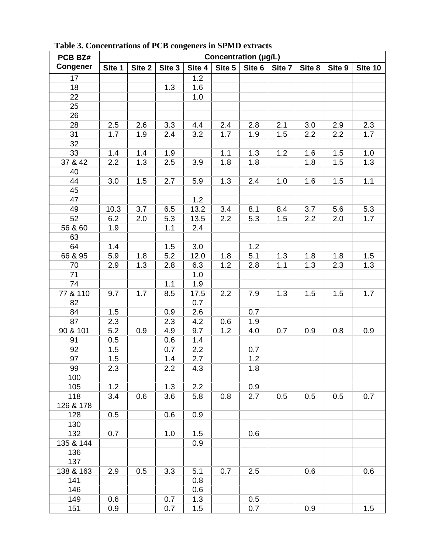| PCB BZ#         | o<br>Concentration (µg/L) |        |        |        |        |        |        |        |        |         |
|-----------------|---------------------------|--------|--------|--------|--------|--------|--------|--------|--------|---------|
| <b>Congener</b> | Site 1                    | Site 2 | Site 3 | Site 4 | Site 5 | Site 6 | Site 7 | Site 8 | Site 9 | Site 10 |
| 17              |                           |        |        | 1.2    |        |        |        |        |        |         |
| 18              |                           |        | 1.3    | 1.6    |        |        |        |        |        |         |
| 22              |                           |        |        | 1.0    |        |        |        |        |        |         |
| 25              |                           |        |        |        |        |        |        |        |        |         |
| 26              |                           |        |        |        |        |        |        |        |        |         |
| 28              | 2.5                       | 2.6    | 3.3    | 4.4    | 2.4    | 2.8    | 2.1    | 3.0    | 2.9    | 2.3     |
| 31              | 1.7                       | 1.9    | 2.4    | 3.2    | 1.7    | 1.9    | 1.5    | 2.2    | 2.2    | 1.7     |
| 32              |                           |        |        |        |        |        |        |        |        |         |
| 33              | 1.4                       | 1.4    | 1.9    |        | 1.1    | 1.3    | 1.2    | 1.6    | 1.5    | 1.0     |
| 37 & 42         | 2.2                       | 1.3    | 2.5    | 3.9    | 1.8    | 1.8    |        | 1.8    | 1.5    | 1.3     |
| 40              |                           |        |        |        |        |        |        |        |        |         |
| 44              | 3.0                       | 1.5    | 2.7    | 5.9    | 1.3    | 2.4    | 1.0    | 1.6    | 1.5    | 1.1     |
| 45              |                           |        |        |        |        |        |        |        |        |         |
| 47              |                           |        |        | $1.2$  |        |        |        |        |        |         |
| 49              | 10.3                      | 3.7    | 6.5    | 13.2   | 3.4    | 8.1    | 8.4    | 3.7    | 5.6    | 5.3     |
| 52              | 6.2                       | 2.0    | 5.3    | 13.5   | 2.2    | 5.3    | 1.5    | 2.2    | 2.0    | 1.7     |
| 56 & 60         | 1.9                       |        | 1.1    | 2.4    |        |        |        |        |        |         |
| 63              |                           |        |        |        |        |        |        |        |        |         |
| 64              | 1.4                       |        | 1.5    | 3.0    |        | 1.2    |        |        |        |         |
| 66 & 95         | 5.9                       | 1.8    | 5.2    | 12.0   | 1.8    | 5.1    | 1.3    | 1.8    | 1.8    | 1.5     |
| 70              | 2.9                       | 1.3    | 2.8    | 6.3    | 1.2    | 2.8    | 1.1    | 1.3    | 2.3    | 1.3     |
| 71              |                           |        |        | 1.0    |        |        |        |        |        |         |
| 74              |                           |        | 1.1    | 1.9    |        |        |        |        |        |         |
| 77 & 110        | 9.7                       | 1.7    | 8.5    | 17.5   | 2.2    | 7.9    | 1.3    | 1.5    | 1.5    | 1.7     |
| 82              |                           |        |        | 0.7    |        |        |        |        |        |         |
| 84              | 1.5                       |        | 0.9    | 2.6    |        | 0.7    |        |        |        |         |
| 87              | 2.3                       |        | 2.3    | 4.2    | 0.6    | 1.9    |        |        |        |         |
| 90 & 101        | 5.2                       | 0.9    | 4.9    | 9.7    | 1.2    | 4.0    | 0.7    | 0.9    | 0.8    | 0.9     |
| 91              | 0.5                       |        | 0.6    | 1.4    |        |        |        |        |        |         |
| 92              | 1.5                       |        | 0.7    | 2.2    |        | 0.7    |        |        |        |         |
| 97              | 1.5                       |        | 1.4    | 2.7    |        | 1.2    |        |        |        |         |
| 99              | 2.3                       |        | 2.2    | 4.3    |        | 1.8    |        |        |        |         |
| 100             |                           |        |        |        |        |        |        |        |        |         |
| 105             | 1.2                       |        | 1.3    | 2.2    |        | 0.9    |        |        |        |         |
| 118             | 3.4                       | 0.6    | 3.6    | 5.8    | 0.8    | 2.7    | 0.5    | 0.5    | 0.5    | 0.7     |
| 126 & 178       |                           |        |        |        |        |        |        |        |        |         |
| 128             | 0.5                       |        | 0.6    | 0.9    |        |        |        |        |        |         |
| 130             |                           |        |        |        |        |        |        |        |        |         |
| 132             | 0.7                       |        | 1.0    | 1.5    |        | 0.6    |        |        |        |         |
| 135 & 144       |                           |        |        | 0.9    |        |        |        |        |        |         |
| 136             |                           |        |        |        |        |        |        |        |        |         |
| 137             |                           |        |        |        |        |        |        |        |        |         |
| 138 & 163       | 2.9                       | 0.5    | 3.3    | 5.1    | 0.7    | 2.5    |        | 0.6    |        | 0.6     |
| 141             |                           |        |        | 0.8    |        |        |        |        |        |         |
| 146             |                           |        |        | 0.6    |        |        |        |        |        |         |
| 149             | 0.6                       |        | 0.7    | 1.3    |        | 0.5    |        |        |        |         |
| 151             | 0.9                       |        | 0.7    | 1.5    |        | 0.7    |        | 0.9    |        | 1.5     |

 **Table 3. Concentrations of PCB congeners in SPMD extracts**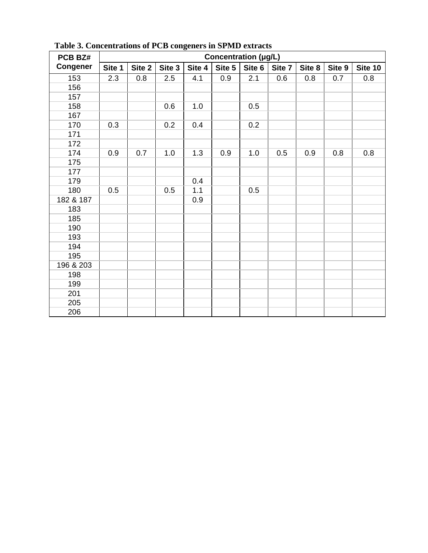| PCB BZ#         | Concentration (µg/L) |        |        |        |        |        |        |        |        |         |
|-----------------|----------------------|--------|--------|--------|--------|--------|--------|--------|--------|---------|
| <b>Congener</b> | Site 1               | Site 2 | Site 3 | Site 4 | Site 5 | Site 6 | Site 7 | Site 8 | Site 9 | Site 10 |
| 153             | 2.3                  | 0.8    | 2.5    | 4.1    | 0.9    | 2.1    | 0.6    | 0.8    | 0.7    | 0.8     |
| 156             |                      |        |        |        |        |        |        |        |        |         |
| 157             |                      |        |        |        |        |        |        |        |        |         |
| 158             |                      |        | 0.6    | 1.0    |        | 0.5    |        |        |        |         |
| 167             |                      |        |        |        |        |        |        |        |        |         |
| 170             | 0.3                  |        | 0.2    | 0.4    |        | 0.2    |        |        |        |         |
| 171             |                      |        |        |        |        |        |        |        |        |         |
| 172             |                      |        |        |        |        |        |        |        |        |         |
| 174             | 0.9                  | 0.7    | 1.0    | 1.3    | 0.9    | 1.0    | 0.5    | 0.9    | 0.8    | 0.8     |
| 175             |                      |        |        |        |        |        |        |        |        |         |
| 177             |                      |        |        |        |        |        |        |        |        |         |
| 179             |                      |        |        | 0.4    |        |        |        |        |        |         |
| 180             | 0.5                  |        | 0.5    | 1.1    |        | 0.5    |        |        |        |         |
| 182 & 187       |                      |        |        | 0.9    |        |        |        |        |        |         |
| 183             |                      |        |        |        |        |        |        |        |        |         |
| 185             |                      |        |        |        |        |        |        |        |        |         |
| 190             |                      |        |        |        |        |        |        |        |        |         |
| 193             |                      |        |        |        |        |        |        |        |        |         |
| 194             |                      |        |        |        |        |        |        |        |        |         |
| 195             |                      |        |        |        |        |        |        |        |        |         |
| 196 & 203       |                      |        |        |        |        |        |        |        |        |         |
| 198             |                      |        |        |        |        |        |        |        |        |         |
| 199             |                      |        |        |        |        |        |        |        |        |         |
| 201             |                      |        |        |        |        |        |        |        |        |         |
| 205             |                      |        |        |        |        |        |        |        |        |         |
| 206             |                      |        |        |        |        |        |        |        |        |         |

 **Table 3. Concentrations of PCB congeners in SPMD extracts**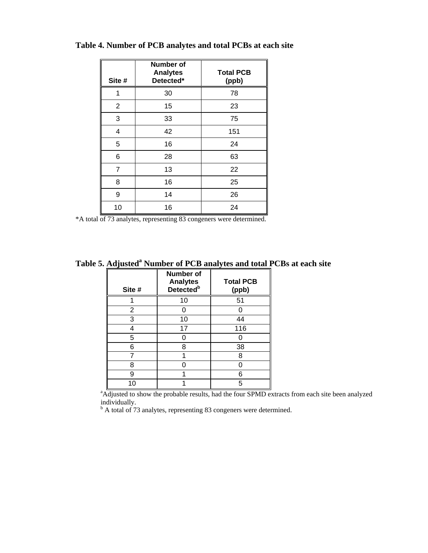| Site #         | <b>Number of</b><br><b>Analytes</b><br>Detected* | <b>Total PCB</b><br>(ppb) |
|----------------|--------------------------------------------------|---------------------------|
| 1              | 30                                               | 78                        |
| $\overline{2}$ | 15                                               | 23                        |
| 3              | 33                                               | 75                        |
| 4              | 42                                               | 151                       |
| 5              | 16                                               | 24                        |
| 6              | 28                                               | 63                        |
| 7              | 13                                               | 22                        |
| 8              | 16                                               | 25                        |
| 9              | 14                                               | 26                        |
| 10             | 16                                               | 24                        |

**Table 4. Number of PCB analytes and total PCBs at each site** 

\*A total of 73 analytes, representing 83 congeners were determined.

Table 5. Adjusted<sup>a</sup> Number of PCB analytes and total PCBs at each site

| Site # | <b>Number of</b><br><b>Analytes</b><br>Detected <sup>b</sup> | <b>Total PCB</b><br>(ppb) |
|--------|--------------------------------------------------------------|---------------------------|
|        | 10                                                           | 51                        |
| 2      |                                                              |                           |
| 3      | 10                                                           | 44                        |
| 4      | 17                                                           | 116                       |
| 5      |                                                              |                           |
| 6      | 8                                                            | 38                        |
|        |                                                              | 8                         |
| 8      |                                                              |                           |
| 9      |                                                              | 6                         |
| 10     |                                                              |                           |

<sup>a</sup> Adjusted to show the probable results, had the four SPMD extracts from each site been analyzed individually.

<sup>b</sup> A total of 73 analytes, representing 83 congeners were determined.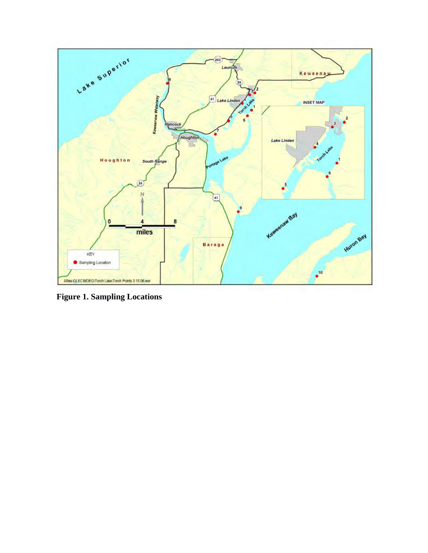

**Figure 1. Sampling Locations**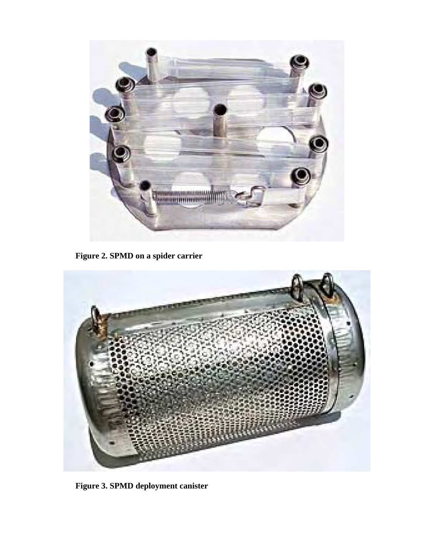

**Figure 2. SPMD on a spider carrier** 



**Figure 3. SPMD deployment canister**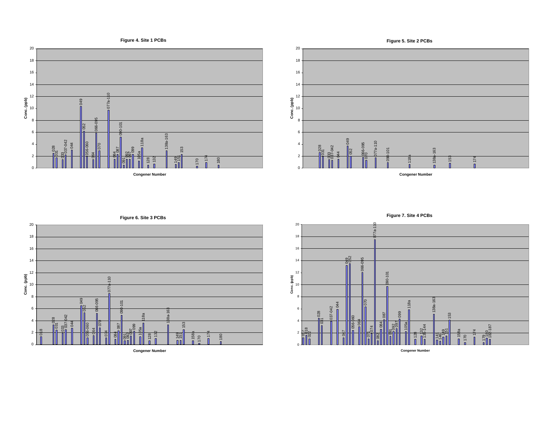

**Congener Number**





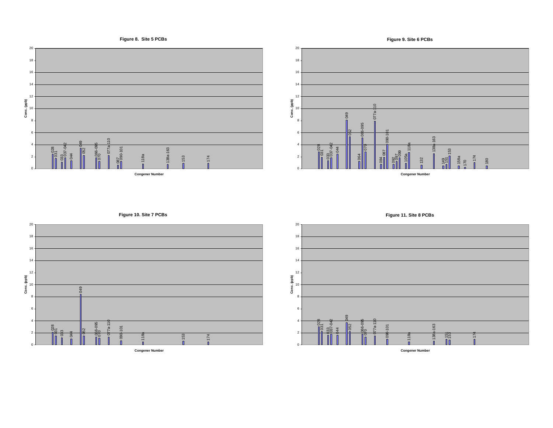

**Congener Number**

**Figure 11. Site 8 PCBs**